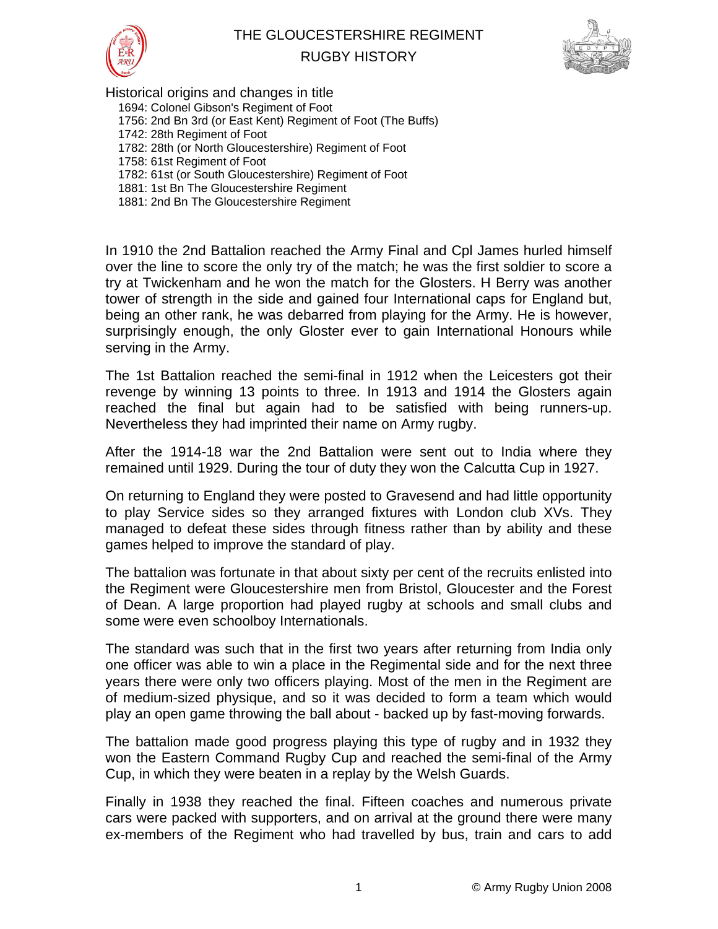

## THE GLOUCESTERSHIRE REGIMENT





Historical origins and changes in title 1694: Colonel Gibson's Regiment of Foot 1756: 2nd Bn 3rd (or East Kent) Regiment of Foot (The Buffs) 1742: 28th Regiment of Foot 1782: 28th (or North Gloucestershire) Regiment of Foot 1758: 61st Regiment of Foot 1782: 61st (or South Gloucestershire) Regiment of Foot 1881: 1st Bn The Gloucestershire Regiment 1881: 2nd Bn The Gloucestershire Regiment

In 1910 the 2nd Battalion reached the Army Final and Cpl James hurled himself over the line to score the only try of the match; he was the first soldier to score a try at Twickenham and he won the match for the Glosters. H Berry was another tower of strength in the side and gained four International caps for England but, being an other rank, he was debarred from playing for the Army. He is however, surprisingly enough, the only Gloster ever to gain International Honours while serving in the Army.

The 1st Battalion reached the semi-final in 1912 when the Leicesters got their revenge by winning 13 points to three. In 1913 and 1914 the Glosters again reached the final but again had to be satisfied with being runners-up. Nevertheless they had imprinted their name on Army rugby.

After the 1914-18 war the 2nd Battalion were sent out to India where they remained until 1929. During the tour of duty they won the Calcutta Cup in 1927.

On returning to England they were posted to Gravesend and had little opportunity to play Service sides so they arranged fixtures with London club XVs. They managed to defeat these sides through fitness rather than by ability and these games helped to improve the standard of play.

The battalion was fortunate in that about sixty per cent of the recruits enlisted into the Regiment were Gloucestershire men from Bristol, Gloucester and the Forest of Dean. A large proportion had played rugby at schools and small clubs and some were even schoolboy Internationals.

The standard was such that in the first two years after returning from India only one officer was able to win a place in the Regimental side and for the next three years there were only two officers playing. Most of the men in the Regiment are of medium-sized physique, and so it was decided to form a team which would play an open game throwing the ball about - backed up by fast-moving forwards.

The battalion made good progress playing this type of rugby and in 1932 they won the Eastern Command Rugby Cup and reached the semi-final of the Army Cup, in which they were beaten in a replay by the Welsh Guards.

Finally in 1938 they reached the final. Fifteen coaches and numerous private cars were packed with supporters, and on arrival at the ground there were many ex-members of the Regiment who had travelled by bus, train and cars to add